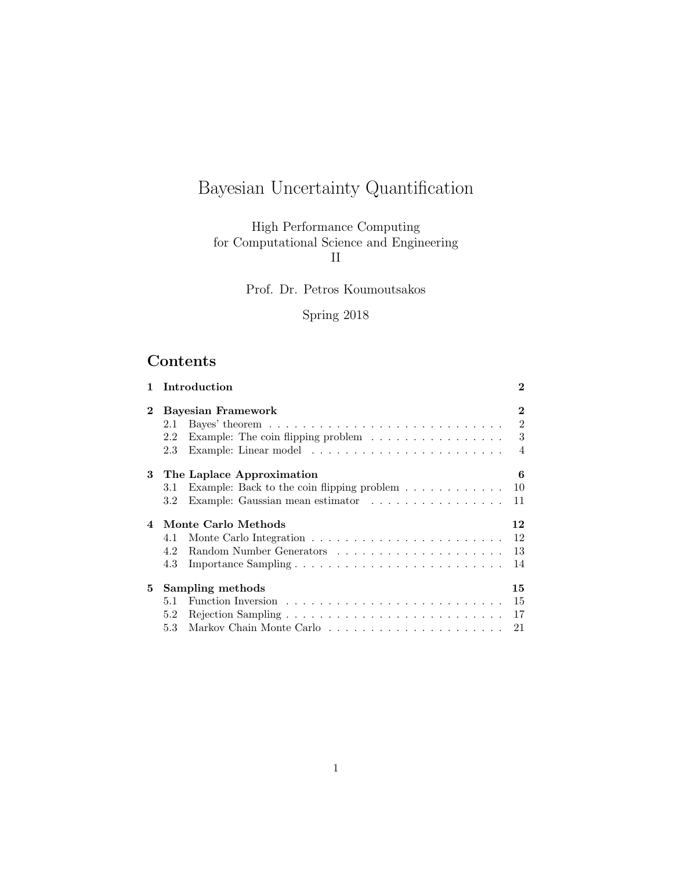# Bayesian Uncertainty Quantification

High Performance Computing for Computational Science and Engineering II

Prof. Dr. Petros Koumoutsakos

## Spring 2018

## Contents

| $\mathbf{1}$ |                           | Introduction                                                                           | $\bf{2}$       |  |  |
|--------------|---------------------------|----------------------------------------------------------------------------------------|----------------|--|--|
| $\mathbf{2}$ | <b>Bayesian Framework</b> |                                                                                        |                |  |  |
|              | 2.1                       | Bayes' theorem $\ldots \ldots \ldots \ldots \ldots \ldots \ldots \ldots \ldots$        | $\overline{2}$ |  |  |
|              | 2.2                       | Example: The coin flipping problem $\ldots \ldots \ldots \ldots \ldots$ 3              |                |  |  |
|              | 2.3                       |                                                                                        |                |  |  |
| 3            | The Laplace Approximation |                                                                                        |                |  |  |
|              | 3.1                       | Example: Back to the coin flipping problem $\dots \dots \dots \dots$                   | 10             |  |  |
|              | 3.2                       | Example: Gaussian mean estimator $\ldots \ldots \ldots \ldots \ldots$                  | 11             |  |  |
| $\mathbf 4$  | Monte Carlo Methods<br>12 |                                                                                        |                |  |  |
|              | 4.1                       |                                                                                        | 12             |  |  |
|              | 4.2                       |                                                                                        | 13             |  |  |
|              | 4.3                       |                                                                                        | 14             |  |  |
| 5.           | Sampling methods<br>15    |                                                                                        |                |  |  |
|              | 5.1                       |                                                                                        | 15             |  |  |
|              | 5.2                       | Rejection Sampling $\ldots \ldots \ldots \ldots \ldots \ldots \ldots \ldots \ldots 17$ |                |  |  |
|              | 5.3                       |                                                                                        |                |  |  |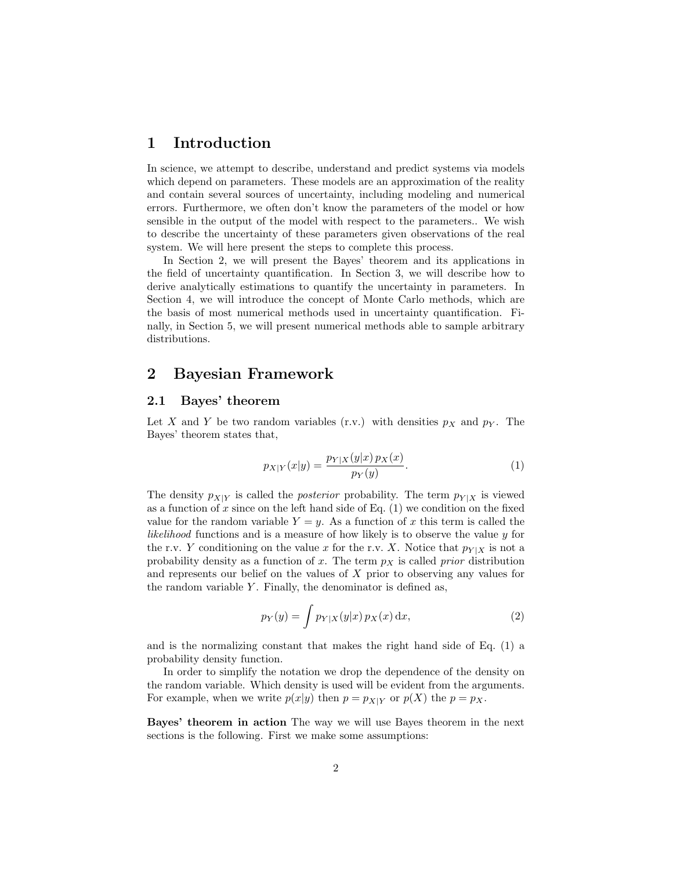### 1 Introduction

In science, we attempt to describe, understand and predict systems via models which depend on parameters. These models are an approximation of the reality and contain several sources of uncertainty, including modeling and numerical errors. Furthermore, we often don't know the parameters of the model or how sensible in the output of the model with respect to the parameters.. We wish to describe the uncertainty of these parameters given observations of the real system. We will here present the steps to complete this process.

In Section 2, we will present the Bayes' theorem and its applications in the field of uncertainty quantification. In Section 3, we will describe how to derive analytically estimations to quantify the uncertainty in parameters. In Section 4, we will introduce the concept of Monte Carlo methods, which are the basis of most numerical methods used in uncertainty quantification. Finally, in Section 5, we will present numerical methods able to sample arbitrary distributions.

### 2 Bayesian Framework

#### 2.1 Bayes' theorem

Let X and Y be two random variables (r.v.) with densities  $p<sub>X</sub>$  and  $p<sub>Y</sub>$ . The Bayes' theorem states that,

$$
p_{X|Y}(x|y) = \frac{p_{Y|X}(y|x) p_X(x)}{p_Y(y)}.
$$
\n(1)

The density  $p_{X|Y}$  is called the *posterior* probability. The term  $p_{Y|X}$  is viewed as a function of  $x$  since on the left hand side of Eq.  $(1)$  we condition on the fixed value for the random variable  $Y = y$ . As a function of x this term is called the likelihood functions and is a measure of how likely is to observe the value y for the r.v. Y conditioning on the value x for the r.v. X. Notice that  $p_{Y|X}$  is not a probability density as a function of x. The term  $p<sub>X</sub>$  is called prior distribution and represents our belief on the values of  $X$  prior to observing any values for the random variable  $Y$ . Finally, the denominator is defined as,

$$
p_Y(y) = \int p_{Y|X}(y|x) p_X(x) dx,
$$
\n(2)

and is the normalizing constant that makes the right hand side of Eq. (1) a probability density function.

In order to simplify the notation we drop the dependence of the density on the random variable. Which density is used will be evident from the arguments. For example, when we write  $p(x|y)$  then  $p = p_{X|Y}$  or  $p(X)$  the  $p = p_X$ .

Bayes' theorem in action The way we will use Bayes theorem in the next sections is the following. First we make some assumptions: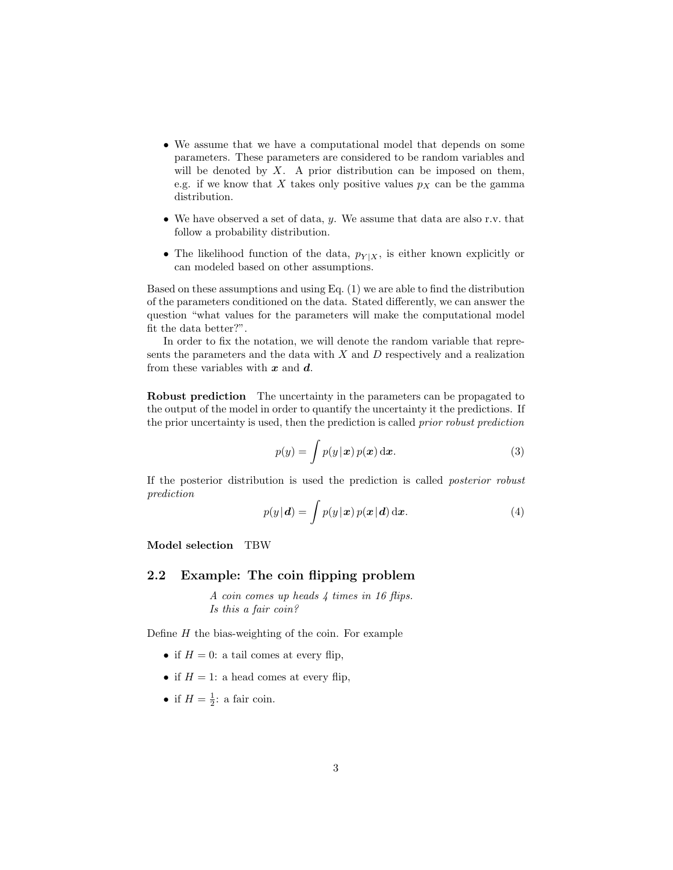- We assume that we have a computational model that depends on some parameters. These parameters are considered to be random variables and will be denoted by  $X$ . A prior distribution can be imposed on them, e.g. if we know that X takes only positive values  $p<sub>X</sub>$  can be the gamma distribution.
- We have observed a set of data,  $y$ . We assume that data are also r.v. that follow a probability distribution.
- The likelihood function of the data,  $p_{Y|X}$ , is either known explicitly or can modeled based on other assumptions.

Based on these assumptions and using Eq. (1) we are able to find the distribution of the parameters conditioned on the data. Stated differently, we can answer the question "what values for the parameters will make the computational model fit the data better?".

In order to fix the notation, we will denote the random variable that represents the parameters and the data with  $X$  and  $D$  respectively and a realization from these variables with  $x$  and  $d$ .

Robust prediction The uncertainty in the parameters can be propagated to the output of the model in order to quantify the uncertainty it the predictions. If the prior uncertainty is used, then the prediction is called prior robust prediction

$$
p(y) = \int p(y|\mathbf{x}) p(\mathbf{x}) \, \mathrm{d}\mathbf{x}.\tag{3}
$$

If the posterior distribution is used the prediction is called posterior robust prediction

$$
p(y|\mathbf{d}) = \int p(y|\mathbf{x}) p(\mathbf{x}|\mathbf{d}) \, \mathrm{d}\mathbf{x}.\tag{4}
$$

Model selection TBW

#### 2.2 Example: The coin flipping problem

A coin comes up heads 4 times in 16 flips. Is this a fair coin?

Define  $H$  the bias-weighting of the coin. For example

- if  $H = 0$ : a tail comes at every flip,
- if  $H = 1$ : a head comes at every flip,
- if  $H = \frac{1}{2}$ : a fair coin.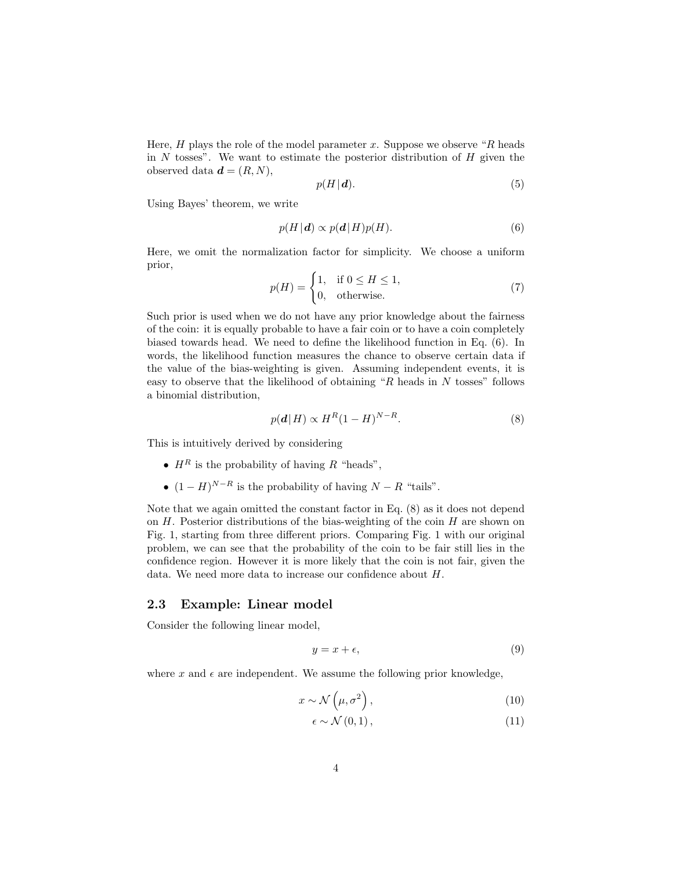Here,  $H$  plays the role of the model parameter  $x$ . Suppose we observe " $R$  heads" in  $N$  tosses". We want to estimate the posterior distribution of  $H$  given the observed data  $\boldsymbol{d} = (R, N),$ 

$$
p(H|\mathbf{d}).\tag{5}
$$

Using Bayes' theorem, we write

$$
p(H | \mathbf{d}) \propto p(\mathbf{d} | H) p(H). \tag{6}
$$

Here, we omit the normalization factor for simplicity. We choose a uniform prior,

$$
p(H) = \begin{cases} 1, & \text{if } 0 \le H \le 1, \\ 0, & \text{otherwise.} \end{cases} \tag{7}
$$

Such prior is used when we do not have any prior knowledge about the fairness of the coin: it is equally probable to have a fair coin or to have a coin completely biased towards head. We need to define the likelihood function in Eq. (6). In words, the likelihood function measures the chance to observe certain data if the value of the bias-weighting is given. Assuming independent events, it is easy to observe that the likelihood of obtaining " $R$  heads in  $N$  tosses" follows a binomial distribution,

$$
p(\mathbf{d} | H) \propto H^R (1 - H)^{N - R}.
$$
\n(8)

This is intuitively derived by considering

- $H^R$  is the probability of having R "heads",
- $(1 H)^{N-R}$  is the probability of having  $N R$  "tails".

Note that we again omitted the constant factor in Eq. (8) as it does not depend on  $H$ . Posterior distributions of the bias-weighting of the coin  $H$  are shown on Fig. 1, starting from three different priors. Comparing Fig. 1 with our original problem, we can see that the probability of the coin to be fair still lies in the confidence region. However it is more likely that the coin is not fair, given the data. We need more data to increase our confidence about H.

#### 2.3 Example: Linear model

Consider the following linear model,

$$
y = x + \epsilon,\tag{9}
$$

where x and  $\epsilon$  are independent. We assume the following prior knowledge,

$$
x \sim \mathcal{N}\left(\mu, \sigma^2\right),\tag{10}
$$

$$
\epsilon \sim \mathcal{N}(0,1),\tag{11}
$$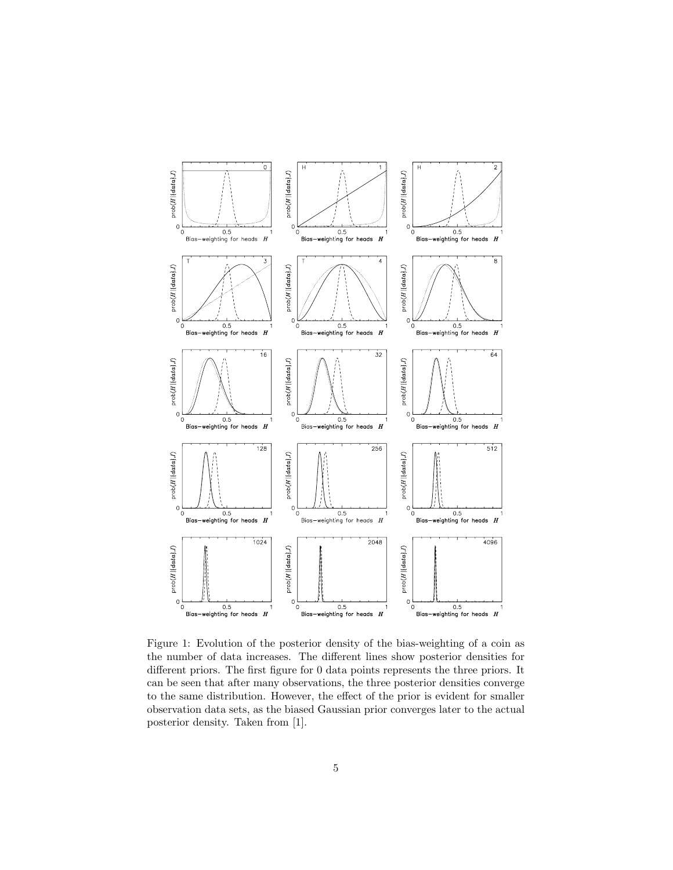

Figure 1: Evolution of the posterior density of the bias-weighting of a coin as the number of data increases. The different lines show posterior densities for different priors. The first figure for 0 data points represents the three priors. It can be seen that after many observations, the three posterior densities converge to the same distribution. However, the effect of the prior is evident for smaller observation data sets, as the biased Gaussian prior converges later to the actual posterior density. Taken from [1].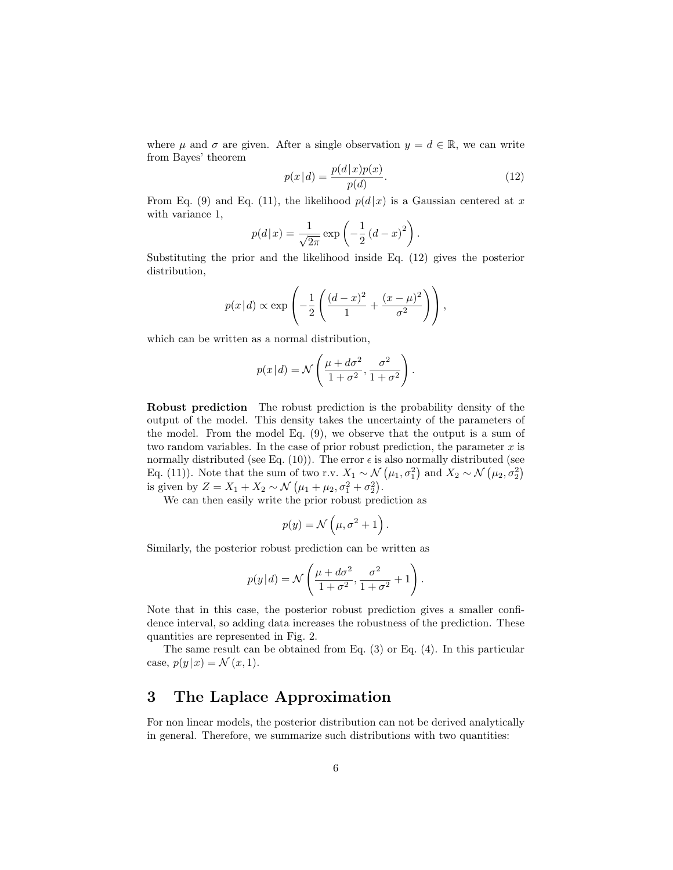where  $\mu$  and  $\sigma$  are given. After a single observation  $y = d \in \mathbb{R}$ , we can write from Bayes' theorem

$$
p(x|d) = \frac{p(d|x)p(x)}{p(d)}.
$$
 (12)

From Eq. (9) and Eq. (11), the likelihood  $p(d|x)$  is a Gaussian centered at x with variance 1,

$$
p(d|x) = \frac{1}{\sqrt{2\pi}} \exp\left(-\frac{1}{2} (d-x)^2\right).
$$

Substituting the prior and the likelihood inside Eq. (12) gives the posterior distribution,

$$
p(x|d) \propto \exp\left(-\frac{1}{2}\left(\frac{(d-x)^2}{1} + \frac{(x-\mu)^2}{\sigma^2}\right)\right),\,
$$

which can be written as a normal distribution,

$$
p(x|d) = \mathcal{N}\left(\frac{\mu + d\sigma^2}{1 + \sigma^2}, \frac{\sigma^2}{1 + \sigma^2}\right).
$$

Robust prediction The robust prediction is the probability density of the output of the model. This density takes the uncertainty of the parameters of the model. From the model Eq. (9), we observe that the output is a sum of two random variables. In the case of prior robust prediction, the parameter  $x$  is normally distributed (see Eq. (10)). The error  $\epsilon$  is also normally distributed (see Eq. (11)). Note that the sum of two r.v.  $X_1 \sim \mathcal{N}(\mu_1, \sigma_1^2)$  and  $X_2 \sim \mathcal{N}(\mu_2, \sigma_2^2)$ is given by  $Z = X_1 + X_2 \sim \mathcal{N}(\mu_1 + \mu_2, \sigma_1^2 + \sigma_2^2)$ .

We can then easily write the prior robust prediction as

$$
p(y) = \mathcal{N}\left(\mu, \sigma^2 + 1\right).
$$

Similarly, the posterior robust prediction can be written as

$$
p(y|d) = \mathcal{N}\left(\frac{\mu + d\sigma^2}{1 + \sigma^2}, \frac{\sigma^2}{1 + \sigma^2} + 1\right).
$$

Note that in this case, the posterior robust prediction gives a smaller confidence interval, so adding data increases the robustness of the prediction. These quantities are represented in Fig. 2.

The same result can be obtained from Eq. (3) or Eq. (4). In this particular case,  $p(y|x) = \mathcal{N}(x, 1)$ .

## 3 The Laplace Approximation

For non linear models, the posterior distribution can not be derived analytically in general. Therefore, we summarize such distributions with two quantities: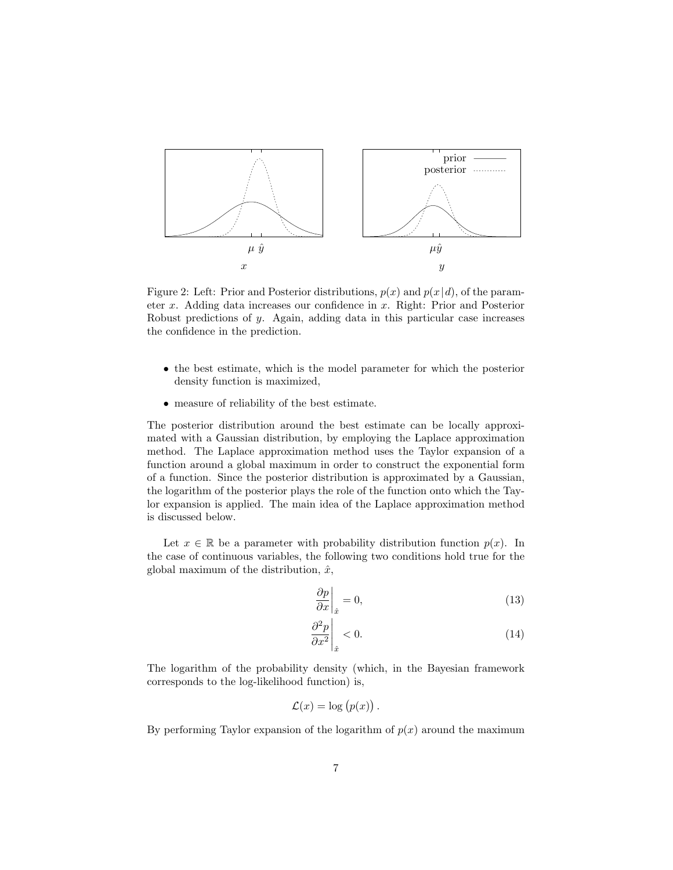

Figure 2: Left: Prior and Posterior distributions,  $p(x)$  and  $p(x|d)$ , of the parameter x. Adding data increases our confidence in x. Right: Prior and Posterior Robust predictions of y. Again, adding data in this particular case increases the confidence in the prediction.

- the best estimate, which is the model parameter for which the posterior density function is maximized,
- measure of reliability of the best estimate.

The posterior distribution around the best estimate can be locally approximated with a Gaussian distribution, by employing the Laplace approximation method. The Laplace approximation method uses the Taylor expansion of a function around a global maximum in order to construct the exponential form of a function. Since the posterior distribution is approximated by a Gaussian, the logarithm of the posterior plays the role of the function onto which the Taylor expansion is applied. The main idea of the Laplace approximation method is discussed below.

Let  $x \in \mathbb{R}$  be a parameter with probability distribution function  $p(x)$ . In the case of continuous variables, the following two conditions hold true for the global maximum of the distribution,  $\hat{x}$ ,

$$
\left. \frac{\partial p}{\partial x} \right|_{\hat{x}} = 0,\tag{13}
$$

$$
\left. \frac{\partial^2 p}{\partial x^2} \right|_{\hat{x}} < 0. \tag{14}
$$

The logarithm of the probability density (which, in the Bayesian framework corresponds to the log-likelihood function) is,

$$
\mathcal{L}(x) = \log (p(x)).
$$

By performing Taylor expansion of the logarithm of  $p(x)$  around the maximum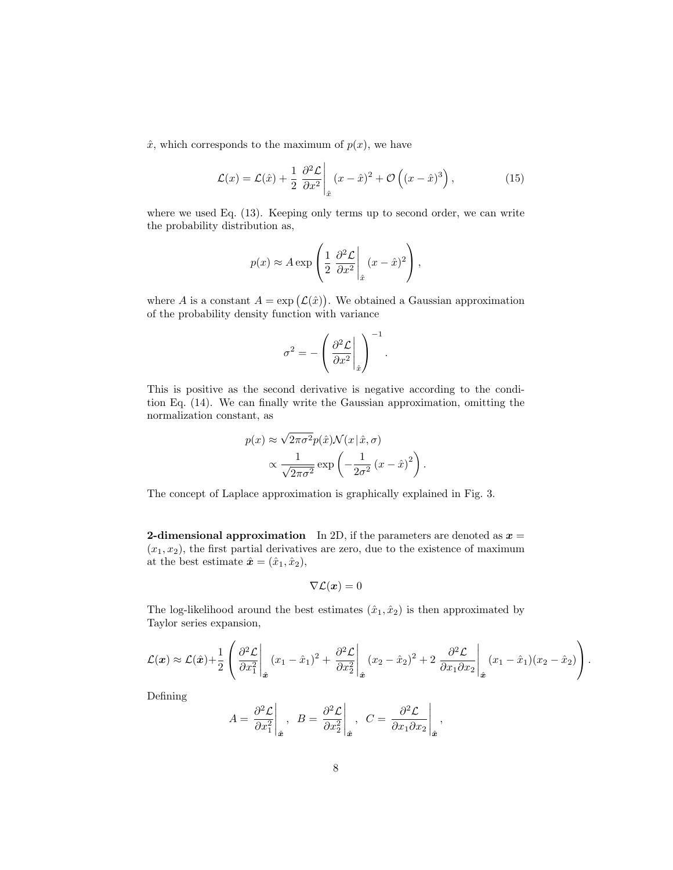$\hat{x}$ , which corresponds to the maximum of  $p(x)$ , we have

$$
\mathcal{L}(x) = \mathcal{L}(\hat{x}) + \frac{1}{2} \left. \frac{\partial^2 \mathcal{L}}{\partial x^2} \right|_{\hat{x}} (x - \hat{x})^2 + \mathcal{O}\left( (x - \hat{x})^3 \right), \tag{15}
$$

where we used Eq.  $(13)$ . Keeping only terms up to second order, we can write the probability distribution as,

 $\overline{1}$ 

$$
p(x) \approx A \exp\left(\frac{1}{2} \frac{\partial^2 \mathcal{L}}{\partial x^2} \bigg|_{\hat{x}} (x - \hat{x})^2\right),
$$

where A is a constant  $A = \exp(\mathcal{L}(\hat{x}))$ . We obtained a Gaussian approximation of the probability density function with variance

$$
\sigma^2 = -\left(\frac{\partial^2 \mathcal{L}}{\partial x^2}\bigg|_{\hat{x}}\right)^{-1}.
$$

This is positive as the second derivative is negative according to the condition Eq. (14). We can finally write the Gaussian approximation, omitting the normalization constant, as

$$
p(x) \approx \sqrt{2\pi\sigma^2} p(\hat{x}) \mathcal{N}(x|\hat{x}, \sigma)
$$

$$
\propto \frac{1}{\sqrt{2\pi\sigma^2}} \exp\left(-\frac{1}{2\sigma^2} (x-\hat{x})^2\right).
$$

The concept of Laplace approximation is graphically explained in Fig. 3.

**2-dimensional approximation** In 2D, if the parameters are denoted as  $x =$  $(x_1, x_2)$ , the first partial derivatives are zero, due to the existence of maximum at the best estimate  $\hat{\mathbf{x}} = (\hat{x}_1, \hat{x}_2),$ 

$$
\nabla \mathcal{L}(\boldsymbol{x}) = 0
$$

The log-likelihood around the best estimates  $(\hat{x}_1, \hat{x}_2)$  is then approximated by Taylor series expansion,

$$
\mathcal{L}(\boldsymbol{x}) \approx \mathcal{L}(\hat{\boldsymbol{x}}) + \frac{1}{2} \left( \frac{\partial^2 \mathcal{L}}{\partial x_1^2} \bigg|_{\hat{\boldsymbol{x}}} (x_1 - \hat{x}_1)^2 + \frac{\partial^2 \mathcal{L}}{\partial x_2^2} \bigg|_{\hat{\boldsymbol{x}}} (x_2 - \hat{x}_2)^2 + 2 \frac{\partial^2 \mathcal{L}}{\partial x_1 \partial x_2} \bigg|_{\hat{\boldsymbol{x}}} (x_1 - \hat{x}_1)(x_2 - \hat{x}_2) \right).
$$

Defining

$$
A = \frac{\partial^2 \mathcal{L}}{\partial x_1^2}\Big|_{\hat{\mathbf{x}}}, \quad B = \frac{\partial^2 \mathcal{L}}{\partial x_2^2}\Big|_{\hat{\mathbf{x}}}, \quad C = \frac{\partial^2 \mathcal{L}}{\partial x_1 \partial x_2}\Big|_{\hat{\mathbf{x}}},
$$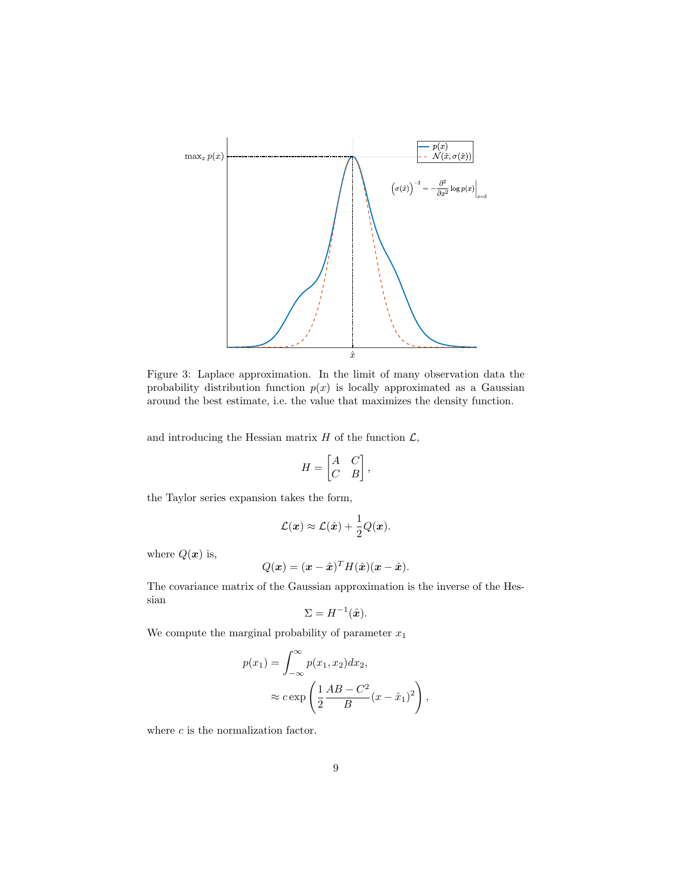

Figure 3: Laplace approximation. In the limit of many observation data the probability distribution function  $p(x)$  is locally approximated as a Gaussian around the best estimate, i.e. the value that maximizes the density function.

and introducing the Hessian matrix  $H$  of the function  $\mathcal{L}$ ,

$$
H = \begin{bmatrix} A & C \\ C & B \end{bmatrix},
$$

the Taylor series expansion takes the form,

$$
\mathcal{L}(\boldsymbol{x}) \approx \mathcal{L}(\hat{\boldsymbol{x}}) + \frac{1}{2}Q(\boldsymbol{x}).
$$

where  $Q(x)$  is,

$$
Q(\boldsymbol{x}) = (\boldsymbol{x} - \hat{\boldsymbol{x}})^T H(\hat{\boldsymbol{x}}) (\boldsymbol{x} - \hat{\boldsymbol{x}}).
$$

The covariance matrix of the Gaussian approximation is the inverse of the Hessian

$$
\Sigma = H^{-1}(\hat{\boldsymbol{x}}).
$$

We compute the marginal probability of parameter  $x_1$ 

$$
p(x_1) = \int_{-\infty}^{\infty} p(x_1, x_2) dx_2,
$$
  

$$
\approx c \exp\left(\frac{1}{2} \frac{AB - C^2}{B} (x - \hat{x}_1)^2\right),
$$

where  $c$  is the normalization factor.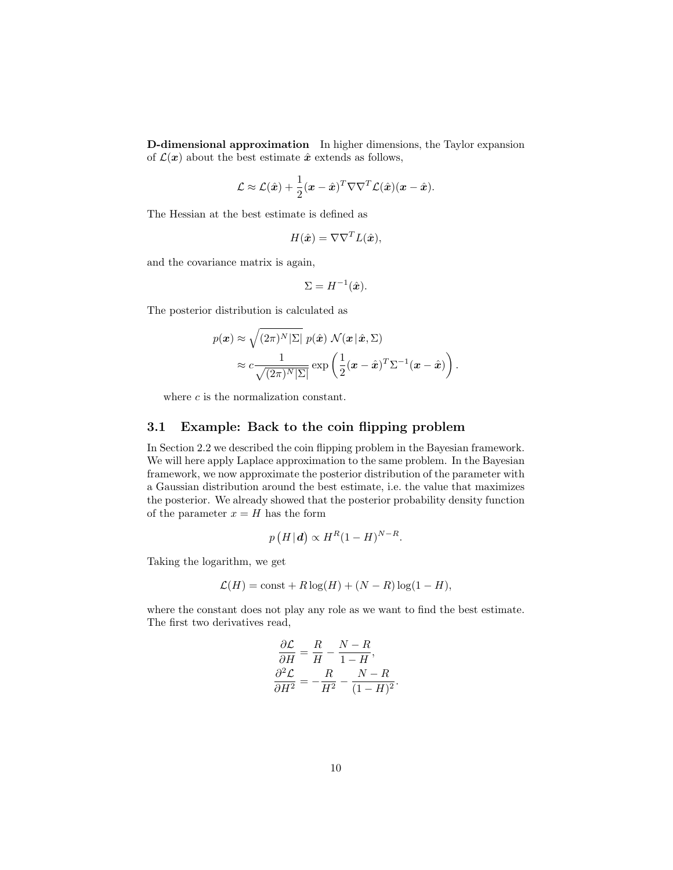D-dimensional approximation In higher dimensions, the Taylor expansion of  $\mathcal{L}(\boldsymbol{x})$  about the best estimate  $\hat{\boldsymbol{x}}$  extends as follows,

$$
\mathcal{L} \approx \mathcal{L}(\hat{\boldsymbol{x}}) + \frac{1}{2}(\boldsymbol{x} - \hat{\boldsymbol{x}})^T \nabla \nabla^T \mathcal{L}(\hat{\boldsymbol{x}})(\boldsymbol{x} - \hat{\boldsymbol{x}}).
$$

The Hessian at the best estimate is defined as

$$
H(\hat{\boldsymbol{x}}) = \nabla \nabla^T L(\hat{\boldsymbol{x}}),
$$

and the covariance matrix is again,

$$
\Sigma = H^{-1}(\hat{\boldsymbol{x}}).
$$

The posterior distribution is calculated as

$$
p(\boldsymbol{x}) \approx \sqrt{(2\pi)^N |\Sigma|} p(\hat{\boldsymbol{x}}) \mathcal{N}(\boldsymbol{x} | \hat{\boldsymbol{x}}, \Sigma)
$$

$$
\approx c \frac{1}{\sqrt{(2\pi)^N |\Sigma|}} \exp\left(\frac{1}{2}(\boldsymbol{x} - \hat{\boldsymbol{x}})^T \Sigma^{-1}(\boldsymbol{x} - \hat{\boldsymbol{x}})\right).
$$

where c is the normalization constant.

#### 3.1 Example: Back to the coin flipping problem

In Section 2.2 we described the coin flipping problem in the Bayesian framework. We will here apply Laplace approximation to the same problem. In the Bayesian framework, we now approximate the posterior distribution of the parameter with a Gaussian distribution around the best estimate, i.e. the value that maximizes the posterior. We already showed that the posterior probability density function of the parameter  $x = H$  has the form

$$
p(H|\mathbf{d}) \propto H^{R}(1-H)^{N-R}.
$$

Taking the logarithm, we get

$$
\mathcal{L}(H) = \text{const} + R \log(H) + (N - R) \log(1 - H),
$$

where the constant does not play any role as we want to find the best estimate. The first two derivatives read,

$$
\begin{aligned} \frac{\partial \mathcal{L}}{\partial H} &= \frac{R}{H} - \frac{N - R}{1 - H}, \\ \frac{\partial^2 \mathcal{L}}{\partial H^2} &= -\frac{R}{H^2} - \frac{N - R}{(1 - H)^2}. \end{aligned}
$$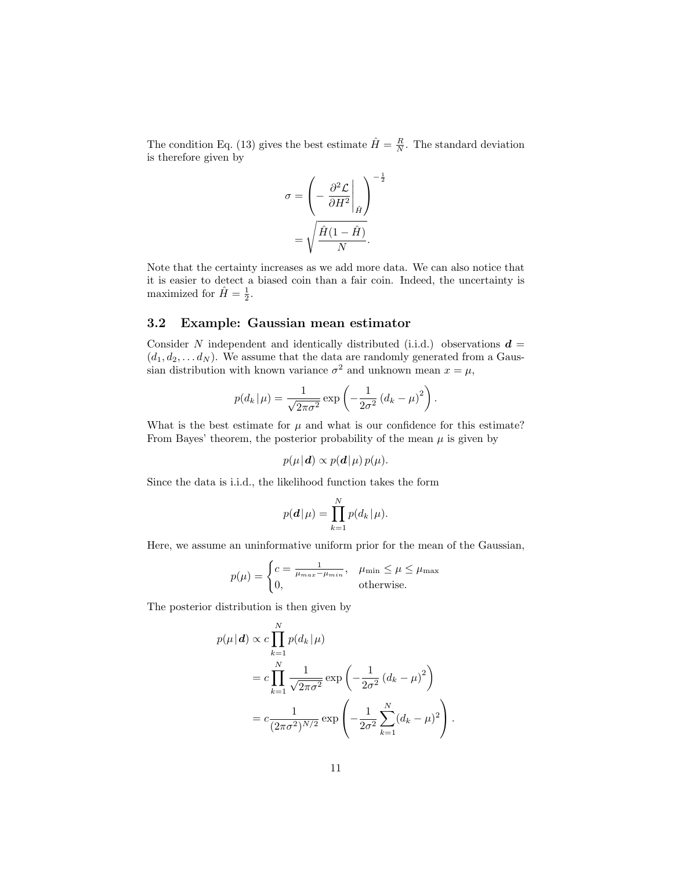The condition Eq. (13) gives the best estimate  $\hat{H} = \frac{R}{N}$ . The standard deviation is therefore given by

$$
\sigma = \left(-\frac{\partial^2 \mathcal{L}}{\partial H^2}\bigg|_{\hat{H}}\right)^{-\frac{1}{2}}
$$

$$
= \sqrt{\frac{\hat{H}(1-\hat{H})}{N}}.
$$

Note that the certainty increases as we add more data. We can also notice that it is easier to detect a biased coin than a fair coin. Indeed, the uncertainty is maximized for  $\hat{H} = \frac{1}{2}$ .

#### 3.2 Example: Gaussian mean estimator

Consider N independent and identically distributed (i.i.d.) observations  $\boldsymbol{d} =$  $(d_1, d_2, \ldots, d_N)$ . We assume that the data are randomly generated from a Gaussian distribution with known variance  $\sigma^2$  and unknown mean  $x = \mu$ ,

$$
p(d_k|\mu) = \frac{1}{\sqrt{2\pi\sigma^2}} \exp\left(-\frac{1}{2\sigma^2} (d_k - \mu)^2\right).
$$

What is the best estimate for  $\mu$  and what is our confidence for this estimate? From Bayes' theorem, the posterior probability of the mean  $\mu$  is given by

$$
p(\mu|\mathbf{d}) \propto p(\mathbf{d}|\mu) p(\mu).
$$

Since the data is i.i.d., the likelihood function takes the form

$$
p(\mathbf{d}|\mu) = \prod_{k=1}^{N} p(d_k|\mu).
$$

Here, we assume an uninformative uniform prior for the mean of the Gaussian,

$$
p(\mu) = \begin{cases} c = \frac{1}{\mu_{max} - \mu_{min}}, & \mu_{min} \le \mu \le \mu_{max} \\ 0, & \text{otherwise.} \end{cases}
$$

The posterior distribution is then given by

$$
p(\mu|\mathbf{d}) \propto c \prod_{k=1}^{N} p(d_k|\mu)
$$
  
=  $c \prod_{k=1}^{N} \frac{1}{\sqrt{2\pi\sigma^2}} \exp\left(-\frac{1}{2\sigma^2} (d_k - \mu)^2\right)$   
=  $c \frac{1}{(2\pi\sigma^2)^{N/2}} \exp\left(-\frac{1}{2\sigma^2} \sum_{k=1}^{N} (d_k - \mu)^2\right).$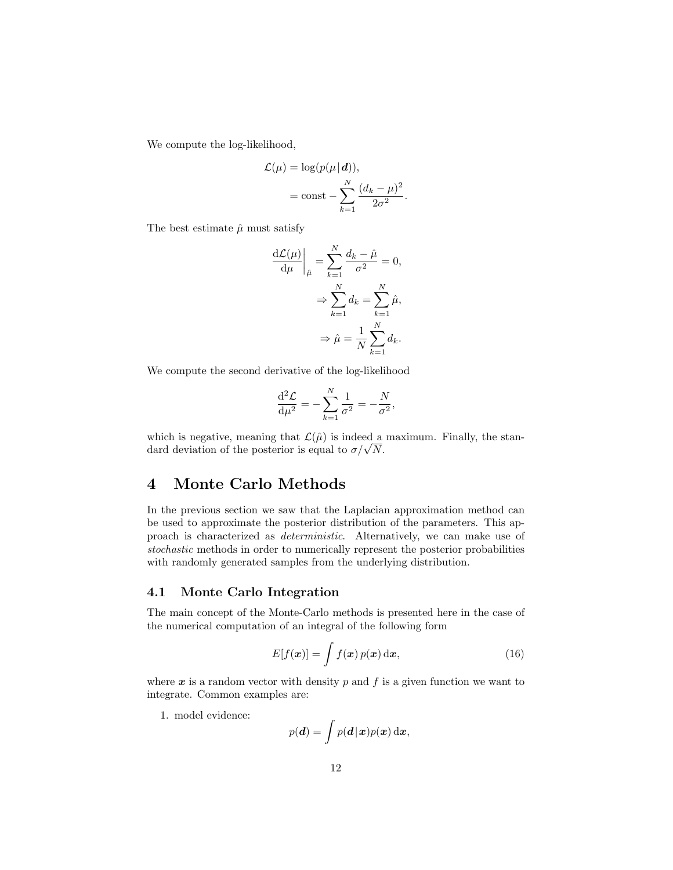We compute the log-likelihood,

$$
\mathcal{L}(\mu) = \log(p(\mu|\mathbf{d})),
$$

$$
= \text{const} - \sum_{k=1}^{N} \frac{(d_k - \mu)^2}{2\sigma^2}
$$

.

The best estimate  $\hat{\mu}$  must satisfy

$$
\frac{\mathrm{d}\mathcal{L}(\mu)}{\mathrm{d}\mu}\bigg|_{\hat{\mu}} = \sum_{k=1}^{N} \frac{d_k - \hat{\mu}}{\sigma^2} = 0,
$$

$$
\Rightarrow \sum_{k=1}^{N} d_k = \sum_{k=1}^{N} \hat{\mu},
$$

$$
\Rightarrow \hat{\mu} = \frac{1}{N} \sum_{k=1}^{N} d_k.
$$

We compute the second derivative of the log-likelihood

$$
\frac{\mathrm{d}^2 \mathcal{L}}{\mathrm{d}\mu^2} = -\sum_{k=1}^N \frac{1}{\sigma^2} = -\frac{N}{\sigma^2},
$$

which is negative, meaning that  $\mathcal{L}(\hat{\mu})$  is indeed a maximum. Finally, the stanwhich is negative, meaning that  $\mathcal{L}(\mu)$  is indeed a dard deviation of the posterior is equal to  $\sigma/\sqrt{N}$ .

## 4 Monte Carlo Methods

In the previous section we saw that the Laplacian approximation method can be used to approximate the posterior distribution of the parameters. This approach is characterized as deterministic. Alternatively, we can make use of stochastic methods in order to numerically represent the posterior probabilities with randomly generated samples from the underlying distribution.

#### 4.1 Monte Carlo Integration

The main concept of the Monte-Carlo methods is presented here in the case of the numerical computation of an integral of the following form

$$
E[f(\boldsymbol{x})] = \int f(\boldsymbol{x}) p(\boldsymbol{x}) \, \mathrm{d}\boldsymbol{x}, \tag{16}
$$

where  $x$  is a random vector with density  $p$  and  $f$  is a given function we want to integrate. Common examples are:

1. model evidence:

$$
p(\boldsymbol{d}) = \int p(\boldsymbol{d} \!\mid\! \boldsymbol{x}) p(\boldsymbol{x}) \, \mathrm{d}\boldsymbol{x},
$$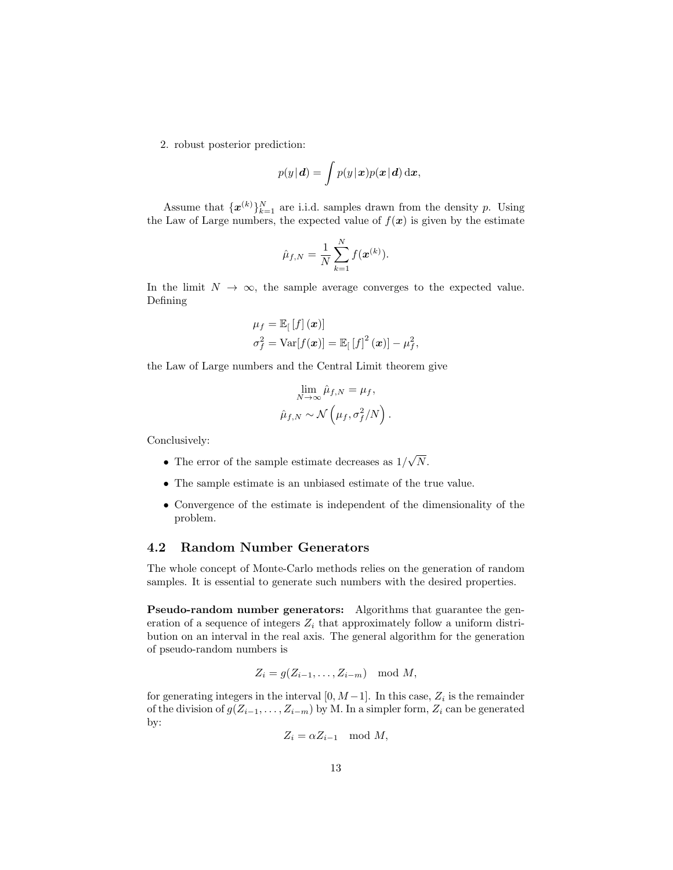2. robust posterior prediction:

$$
p(y|\mathbf{d}) = \int p(y|\mathbf{x})p(\mathbf{x}|\mathbf{d})\,\mathrm{d}\mathbf{x},
$$

Assume that  $\{\boldsymbol{x}^{(k)}\}_{k=1}^N$  are i.i.d. samples drawn from the density p. Using the Law of Large numbers, the expected value of  $f(x)$  is given by the estimate

$$
\hat{\mu}_{f,N} = \frac{1}{N} \sum_{k=1}^{N} f(\mathbf{x}^{(k)}).
$$

In the limit  $N \to \infty$ , the sample average converges to the expected value. Defining

$$
\mu_f = \mathbb{E}_{\left[\left[f\right](x)\right]} \n\sigma_f^2 = \text{Var}[f(x)] = \mathbb{E}_{\left[\left[f\right]^2(x)\right]} - \mu_f^2,
$$

the Law of Large numbers and the Central Limit theorem give

$$
\lim_{N \to \infty} \hat{\mu}_{f,N} = \mu_f,
$$
  

$$
\hat{\mu}_{f,N} \sim \mathcal{N}\left(\mu_f, \sigma_f^2/N\right).
$$

Conclusively:

- The error of the sample estimate decreases as  $1/$ √ N.
- The sample estimate is an unbiased estimate of the true value.
- Convergence of the estimate is independent of the dimensionality of the problem.

#### 4.2 Random Number Generators

The whole concept of Monte-Carlo methods relies on the generation of random samples. It is essential to generate such numbers with the desired properties.

Pseudo-random number generators: Algorithms that guarantee the generation of a sequence of integers  $Z_i$  that approximately follow a uniform distribution on an interval in the real axis. The general algorithm for the generation of pseudo-random numbers is

$$
Z_i = g(Z_{i-1}, \ldots, Z_{i-m}) \mod M,
$$

for generating integers in the interval  $[0, M-1]$ . In this case,  $Z_i$  is the remainder of the division of  $g(Z_{i-1}, \ldots, Z_{i-m})$  by M. In a simpler form,  $Z_i$  can be generated by:

$$
Z_i = \alpha Z_{i-1} \mod M,
$$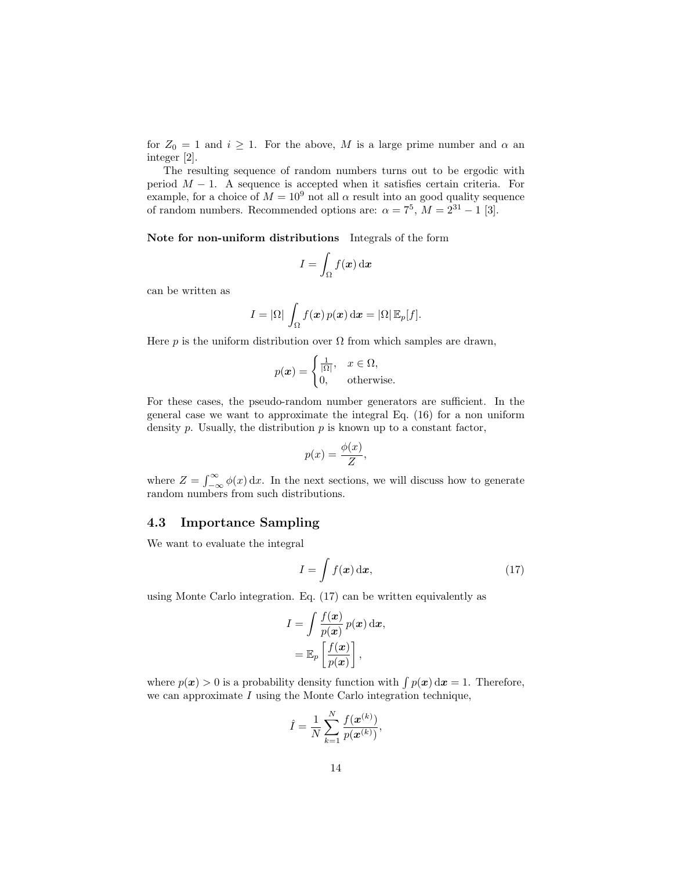for  $Z_0 = 1$  and  $i \geq 1$ . For the above, M is a large prime number and  $\alpha$  an integer [2].

The resulting sequence of random numbers turns out to be ergodic with period  $M - 1$ . A sequence is accepted when it satisfies certain criteria. For example, for a choice of  $M = 10^9$  not all  $\alpha$  result into an good quality sequence of random numbers. Recommended options are:  $\alpha = 7^5$ ,  $M = 2^{31} - 1$  [3].

Note for non-uniform distributions Integrals of the form

$$
I = \int_{\Omega} f(\boldsymbol{x}) \, \mathrm{d}\boldsymbol{x}
$$

can be written as

$$
I=|\Omega|\,\int_{\Omega}f(\boldsymbol{x})\,p(\boldsymbol{x})\,\mathrm{d}\boldsymbol{x}=|\Omega|\,\mathbb{E}_p[f].
$$

Here p is the uniform distribution over  $\Omega$  from which samples are drawn,

$$
p(\boldsymbol{x}) = \begin{cases} \frac{1}{|\Omega|}, & \boldsymbol{x} \in \Omega, \\ 0, & \text{otherwise.} \end{cases}
$$

For these cases, the pseudo-random number generators are sufficient. In the general case we want to approximate the integral Eq. (16) for a non uniform density  $p$ . Usually, the distribution  $p$  is known up to a constant factor,

$$
p(x) = \frac{\phi(x)}{Z},
$$

where  $Z = \int_{-\infty}^{\infty} \phi(x) dx$ . In the next sections, we will discuss how to generate random numbers from such distributions.

#### 4.3 Importance Sampling

We want to evaluate the integral

$$
I = \int f(\mathbf{x}) \, \mathrm{d}\mathbf{x},\tag{17}
$$

using Monte Carlo integration. Eq. (17) can be written equivalently as

$$
I = \int \frac{f(\boldsymbol{x})}{p(\boldsymbol{x})} p(\boldsymbol{x}) d\boldsymbol{x},
$$
  
=  $\mathbb{E}_p \left[ \frac{f(\boldsymbol{x})}{p(\boldsymbol{x})} \right],$ 

where  $p(x) > 0$  is a probability density function with  $\int p(x) dx = 1$ . Therefore, we can approximate I using the Monte Carlo integration technique,

$$
\hat{I} = \frac{1}{N} \sum_{k=1}^{N} \frac{f(\mathbf{x}^{(k)})}{p(\mathbf{x}^{(k)})},
$$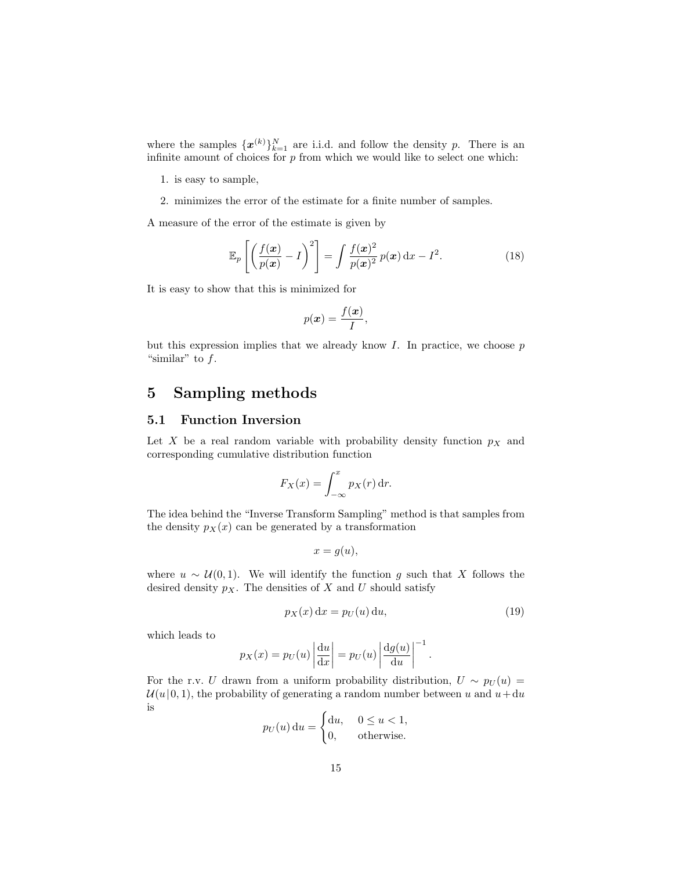where the samples  $\{\boldsymbol{x}^{(k)}\}_{k=1}^N$  are i.i.d. and follow the density p. There is an infinite amount of choices for  $p$  from which we would like to select one which:

- 1. is easy to sample,
- 2. minimizes the error of the estimate for a finite number of samples.

A measure of the error of the estimate is given by

$$
\mathbb{E}_p\left[\left(\frac{f(\boldsymbol{x})}{p(\boldsymbol{x})}-I\right)^2\right]=\int\frac{f(\boldsymbol{x})^2}{p(\boldsymbol{x})^2}p(\boldsymbol{x})\,\mathrm{d}\boldsymbol{x}-I^2.\tag{18}
$$

It is easy to show that this is minimized for

$$
p(\boldsymbol{x}) = \frac{f(\boldsymbol{x})}{I},
$$

but this expression implies that we already know  $I$ . In practice, we choose  $p$ "similar" to  $f$ .

## 5 Sampling methods

#### 5.1 Function Inversion

Let X be a real random variable with probability density function  $p<sub>X</sub>$  and corresponding cumulative distribution function

$$
F_X(x) = \int_{-\infty}^x p_X(r) \, \mathrm{d}r.
$$

The idea behind the "Inverse Transform Sampling" method is that samples from the density  $p_X(x)$  can be generated by a transformation

$$
x = g(u),
$$

where  $u \sim \mathcal{U}(0, 1)$ . We will identify the function g such that X follows the desired density  $p_X$ . The densities of X and U should satisfy

$$
p_X(x) dx = p_U(u) du,
$$
\n(19)

.

which leads to

$$
p_X(x) = p_U(u) \left| \frac{du}{dx} \right| = p_U(u) \left| \frac{dg(u)}{du} \right|^{-1}
$$

For the r.v. U drawn from a uniform probability distribution,  $U \sim p_U(u)$  $\mathcal{U}(u|0, 1)$ , the probability of generating a random number between u and  $u + du$ is

$$
p_U(u) du = \begin{cases} du, & 0 \le u < 1, \\ 0, & \text{otherwise.} \end{cases}
$$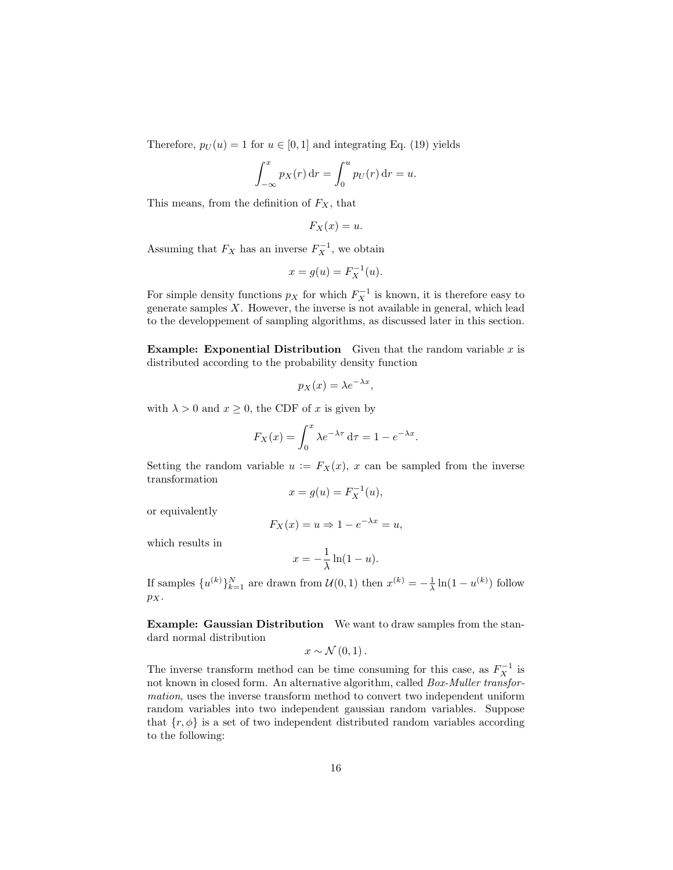Therefore,  $p_U(u) = 1$  for  $u \in [0, 1]$  and integrating Eq. (19) yields

$$
\int_{-\infty}^{x} p_X(r) dr = \int_{0}^{u} p_U(r) dr = u.
$$

This means, from the definition of  $F_X$ , that

$$
F_X(x) = u.
$$

Assuming that  $F_X$  has an inverse  $F_X^{-1}$ , we obtain

$$
x = g(u) = F_X^{-1}(u).
$$

For simple density functions  $p_X$  for which  $F_X^{-1}$  is known, it is therefore easy to generate samples  $X$ . However, the inverse is not available in general, which lead to the developpement of sampling algorithms, as discussed later in this section.

**Example: Exponential Distribution** Given that the random variable  $x$  is distributed according to the probability density function

$$
p_X(x) = \lambda e^{-\lambda x},
$$

with  $\lambda > 0$  and  $x \geq 0$ , the CDF of x is given by

$$
F_X(x) = \int_0^x \lambda e^{-\lambda \tau} d\tau = 1 - e^{-\lambda x}.
$$

Setting the random variable  $u := F_X(x)$ , x can be sampled from the inverse transformation

$$
x = g(u) = F_X^{-1}(u),
$$

or equivalently

$$
F_X(x) = u \Rightarrow 1 - e^{-\lambda x} = u,
$$

which results in

$$
x = -\frac{1}{\lambda} \ln(1 - u).
$$

If samples  $\{u^{(k)}\}_{k=1}^N$  are drawn from  $\mathcal{U}(0,1)$  then  $x^{(k)} = -\frac{1}{\lambda} \ln(1 - u^{(k)})$  follow pX.

Example: Gaussian Distribution We want to draw samples from the standard normal distribution

$$
x \sim \mathcal{N}(0,1).
$$

The inverse transform method can be time consuming for this case, as  $F_X^{-1}$  is not known in closed form. An alternative algorithm, called Box-Muller transformation, uses the inverse transform method to convert two independent uniform random variables into two independent gaussian random variables. Suppose that  $\{r, \phi\}$  is a set of two independent distributed random variables according to the following: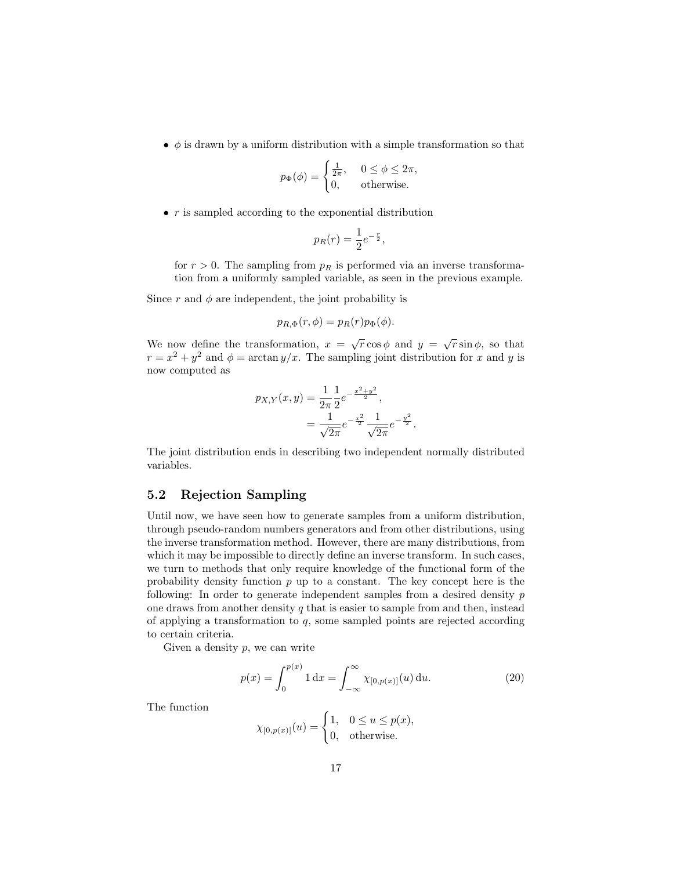•  $\phi$  is drawn by a uniform distribution with a simple transformation so that

$$
p_{\Phi}(\phi) = \begin{cases} \frac{1}{2\pi}, & 0 \le \phi \le 2\pi, \\ 0, & \text{otherwise.} \end{cases}
$$

 $\bullet$  r is sampled according to the exponential distribution

$$
p_R(r) = \frac{1}{2}e^{-\frac{r}{2}},
$$

for  $r > 0$ . The sampling from  $p_R$  is performed via an inverse transformation from a uniformly sampled variable, as seen in the previous example.

Since r and  $\phi$  are independent, the joint probability is

$$
p_{R,\Phi}(r,\phi) = p_R(r)p_\Phi(\phi).
$$

We now define the transformation,  $x = \sqrt{r} \cos \phi$  and  $y = \sqrt{r} \sin \phi$ , so that  $r = x^2 + y^2$  and  $\phi = \arctan y/x$ . The sampling joint distribution for x and y is now computed as

$$
p_{X,Y}(x,y) = \frac{1}{2\pi} \frac{1}{2} e^{-\frac{x^2 + y^2}{2}},
$$
  
= 
$$
\frac{1}{\sqrt{2\pi}} e^{-\frac{x^2}{2}} \frac{1}{\sqrt{2\pi}} e^{-\frac{y^2}{2}}.
$$

The joint distribution ends in describing two independent normally distributed variables.

#### 5.2 Rejection Sampling

Until now, we have seen how to generate samples from a uniform distribution, through pseudo-random numbers generators and from other distributions, using the inverse transformation method. However, there are many distributions, from which it may be impossible to directly define an inverse transform. In such cases, we turn to methods that only require knowledge of the functional form of the probability density function  $p$  up to a constant. The key concept here is the following: In order to generate independent samples from a desired density p one draws from another density  $q$  that is easier to sample from and then, instead of applying a transformation to  $q$ , some sampled points are rejected according to certain criteria.

Given a density  $p$ , we can write

$$
p(x) = \int_0^{p(x)} 1 \, dx = \int_{-\infty}^{\infty} \chi_{[0,p(x)]}(u) \, du.
$$
 (20)

The function

$$
\chi_{[0,p(x)]}(u) = \begin{cases} 1, & 0 \le u \le p(x), \\ 0, & \text{otherwise.} \end{cases}
$$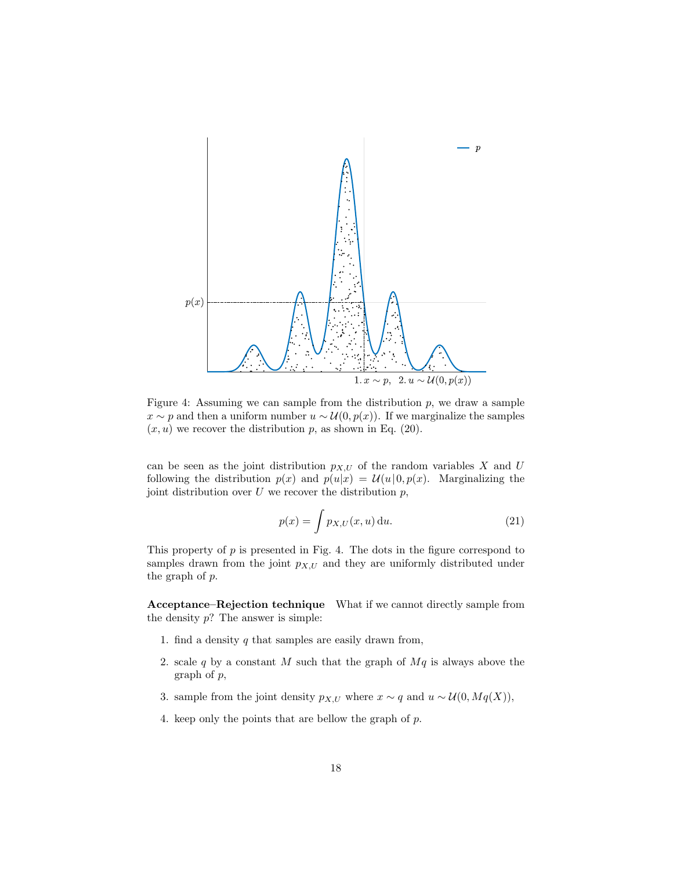

Figure 4: Assuming we can sample from the distribution  $p$ , we draw a sample  $x \sim p$  and then a uniform number  $u \sim \mathcal{U}(0, p(x))$ . If we marginalize the samples  $(x, u)$  we recover the distribution p, as shown in Eq. (20).

can be seen as the joint distribution  $p_{X,U}$  of the random variables X and U following the distribution  $p(x)$  and  $p(u|x) = U(u|0, p(x)$ . Marginalizing the joint distribution over  $U$  we recover the distribution  $p$ ,

$$
p(x) = \int p_{X,U}(x, u) \, \mathrm{d}u. \tag{21}
$$

This property of  $p$  is presented in Fig. 4. The dots in the figure correspond to samples drawn from the joint  $p_{X,U}$  and they are uniformly distributed under the graph of p.

Acceptance–Rejection technique What if we cannot directly sample from the density  $p$ ? The answer is simple:

- 1. find a density  $q$  that samples are easily drawn from,
- 2. scale q by a constant M such that the graph of  $Mq$  is always above the graph of p,
- 3. sample from the joint density  $p_{X,U}$  where  $x \sim q$  and  $u \sim \mathcal{U}(0, Mq(X)),$
- 4. keep only the points that are bellow the graph of p.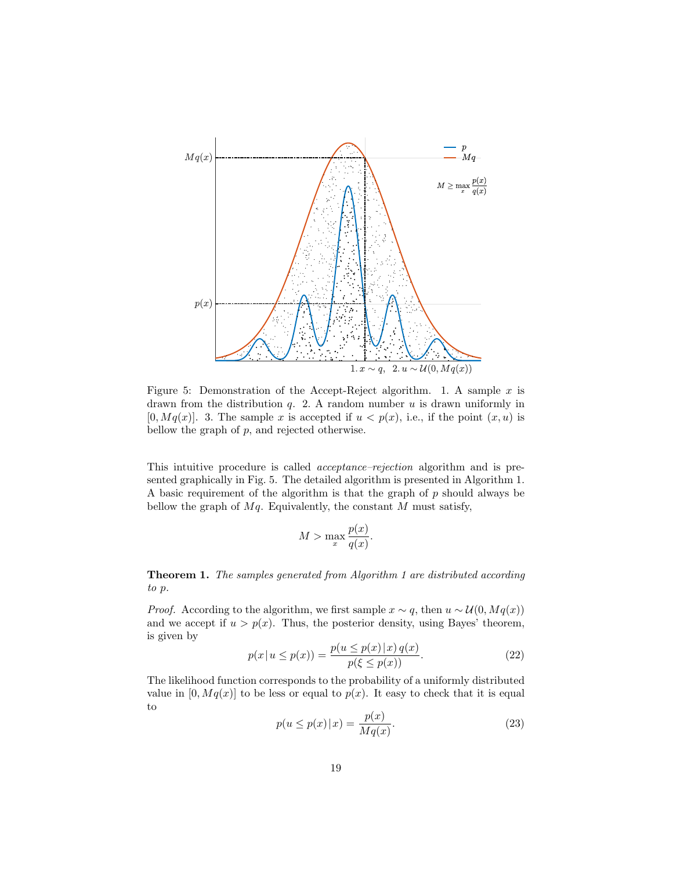

Figure 5: Demonstration of the Accept-Reject algorithm. 1. A sample  $x$  is drawn from the distribution  $q$ . 2. A random number  $u$  is drawn uniformly in  $[0, Mq(x)]$ . 3. The sample x is accepted if  $u < p(x)$ , i.e., if the point  $(x, u)$  is bellow the graph of  $p$ , and rejected otherwise.

This intuitive procedure is called acceptance–rejection algorithm and is presented graphically in Fig. 5. The detailed algorithm is presented in Algorithm 1. A basic requirement of the algorithm is that the graph of  $p$  should always be bellow the graph of  $Mq$ . Equivalently, the constant  $M$  must satisfy,

$$
M > \max_{x} \frac{p(x)}{q(x)}.
$$

Theorem 1. The samples generated from Algorithm 1 are distributed according to p.

*Proof.* According to the algorithm, we first sample  $x \sim q$ , then  $u \sim \mathcal{U}(0, Mq(x))$ and we accept if  $u > p(x)$ . Thus, the posterior density, using Bayes' theorem, is given by

$$
p(x | u \le p(x)) = \frac{p(u \le p(x) | x) q(x)}{p(\xi \le p(x))}.
$$
 (22)

The likelihood function corresponds to the probability of a uniformly distributed value in  $[0, Mq(x)]$  to be less or equal to  $p(x)$ . It easy to check that it is equal to

$$
p(u \le p(x) \mid x) = \frac{p(x)}{Mq(x)}.\tag{23}
$$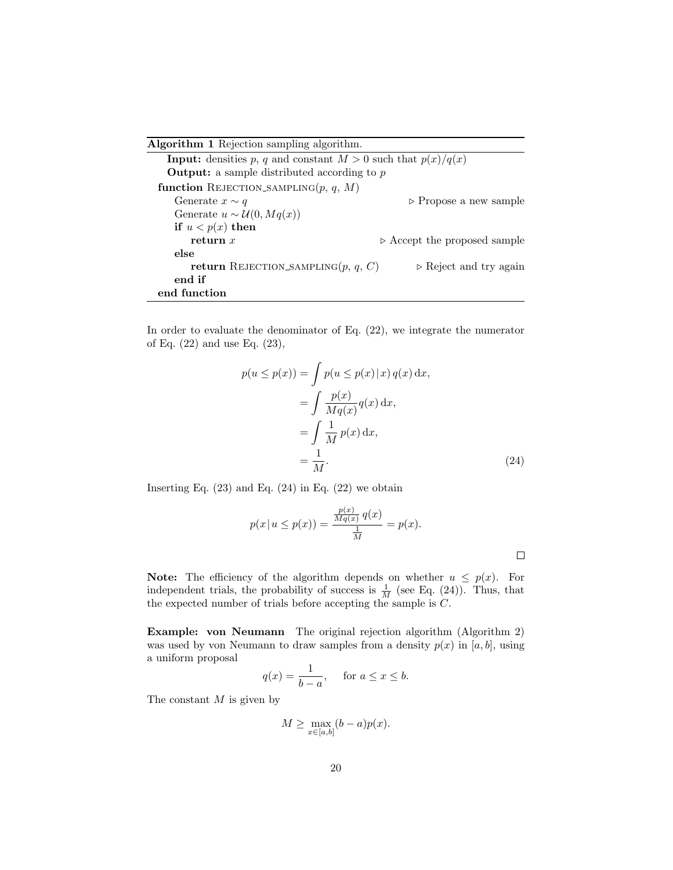Algorithm 1 Rejection sampling algorithm.

**Input:** densities p, q and constant  $M > 0$  such that  $p(x)/q(x)$ **Output:** a sample distributed according to  $p$ function REJECTION\_SAMPLING $(p, q, M)$ Generate  $x \sim q$  . Propose a new sample Generate  $u \sim \mathcal{U}(0, Mq(x))$ if  $u < p(x)$  then **return** x  $\triangleright$  Accept the proposed sample else return REJECTION SAMPLING $(p, q, C)$   $\rightarrow$  Reject and try again end if end function

In order to evaluate the denominator of Eq. (22), we integrate the numerator of Eq. (22) and use Eq. (23),

$$
p(u \le p(x)) = \int p(u \le p(x) | x) q(x) dx,
$$
  
= 
$$
\int \frac{p(x)}{Mq(x)} q(x) dx,
$$
  
= 
$$
\int \frac{1}{M} p(x) dx,
$$
  
= 
$$
\frac{1}{M}.
$$
 (24)

Inserting Eq.  $(23)$  and Eq.  $(24)$  in Eq.  $(22)$  we obtain

$$
p(x | u \le p(x)) = \frac{\frac{p(x)}{Mq(x)} q(x)}{\frac{1}{M}} = p(x).
$$

 $\Box$ 

**Note:** The efficiency of the algorithm depends on whether  $u \leq p(x)$ . For independent trials, the probability of success is  $\frac{1}{M}$  (see Eq. (24)). Thus, that the expected number of trials before accepting the sample is C.

Example: von Neumann The original rejection algorithm (Algorithm 2) was used by von Neumann to draw samples from a density  $p(x)$  in [a, b], using a uniform proposal

$$
q(x) = \frac{1}{b-a}, \quad \text{for } a \le x \le b.
$$

The constant  $M$  is given by

$$
M \ge \max_{x \in [a,b]} (b-a)p(x).
$$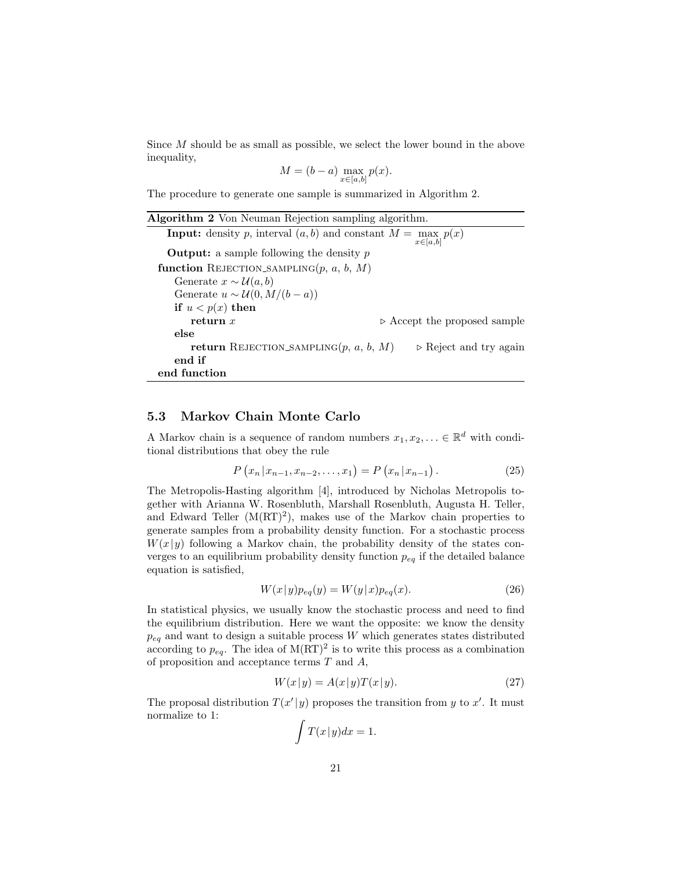Since M should be as small as possible, we select the lower bound in the above inequality,

$$
M = (b - a) \max_{x \in [a, b]} p(x).
$$

The procedure to generate one sample is summarized in Algorithm 2.

| <b>Algorithm 2</b> Von Neuman Rejection sampling algorithm.                            |                                             |  |  |  |
|----------------------------------------------------------------------------------------|---------------------------------------------|--|--|--|
| <b>Input:</b> density p, interval $(a, b)$ and constant $M = \max_{x \in [a, b]} p(x)$ |                                             |  |  |  |
| <b>Output:</b> a sample following the density $p$                                      |                                             |  |  |  |
| function REJECTION_SAMPLING $(p, a, b, M)$                                             |                                             |  |  |  |
| Generate $x \sim \mathcal{U}(a, b)$                                                    |                                             |  |  |  |
| Generate $u \sim \mathcal{U}(0, M/(b-a))$                                              |                                             |  |  |  |
| if $u < p(x)$ then                                                                     |                                             |  |  |  |
| return $x$                                                                             | $\triangleright$ Accept the proposed sample |  |  |  |
| else                                                                                   |                                             |  |  |  |
| <b>return</b> REJECTION_SAMPLING $(p, a, b, M)$                                        | $\triangleright$ Reject and try again       |  |  |  |
| end if                                                                                 |                                             |  |  |  |
| end function                                                                           |                                             |  |  |  |

#### 5.3 Markov Chain Monte Carlo

A Markov chain is a sequence of random numbers  $x_1, x_2, \ldots \in \mathbb{R}^d$  with conditional distributions that obey the rule

$$
P(x_n | x_{n-1}, x_{n-2}, \dots, x_1) = P(x_n | x_{n-1}).
$$
\n(25)

The Metropolis-Hasting algorithm [4], introduced by Nicholas Metropolis together with Arianna W. Rosenbluth, Marshall Rosenbluth, Augusta H. Teller, and Edward Teller  $(M(RT)^2)$ , makes use of the Markov chain properties to generate samples from a probability density function. For a stochastic process  $W(x|y)$  following a Markov chain, the probability density of the states converges to an equilibrium probability density function  $p_{eq}$  if the detailed balance equation is satisfied,

$$
W(x|y)p_{eq}(y) = W(y|x)p_{eq}(x).
$$
 (26)

In statistical physics, we usually know the stochastic process and need to find the equilibrium distribution. Here we want the opposite: we know the density  $p_{eq}$  and want to design a suitable process W which generates states distributed according to  $p_{eq}$ . The idea of M(RT)<sup>2</sup> is to write this process as a combination of proposition and acceptance terms  $T$  and  $A$ ,

$$
W(x|y) = A(x|y)T(x|y).
$$
 (27)

The proposal distribution  $T(x'|y)$  proposes the transition from y to x'. It must normalize to 1:

$$
\int T(x|y)dx = 1.
$$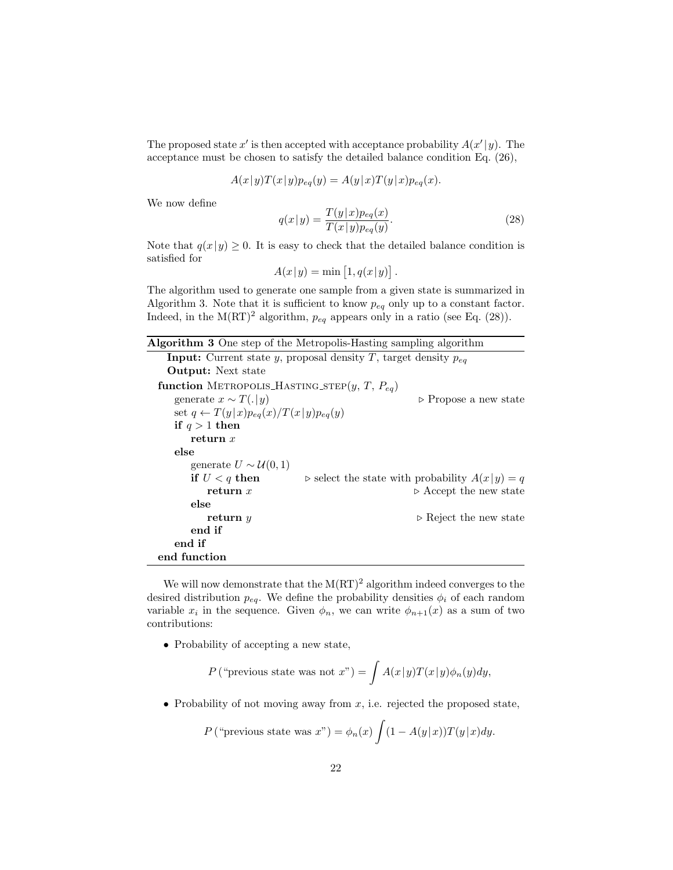The proposed state  $x'$  is then accepted with acceptance probability  $A(x'|y)$ . The acceptance must be chosen to satisfy the detailed balance condition Eq. (26),

$$
A(x|y)T(x|y)p_{eq}(y) = A(y|x)T(y|x)p_{eq}(x).
$$

We now define

$$
q(x|y) = \frac{T(y|x)p_{eq}(x)}{T(x|y)p_{eq}(y)}.
$$
\n(28)

Note that  $q(x|y) \geq 0$ . It is easy to check that the detailed balance condition is satisfied for

$$
A(x|y) = \min [1, q(x|y)].
$$

The algorithm used to generate one sample from a given state is summarized in Algorithm 3. Note that it is sufficient to know  $p_{eq}$  only up to a constant factor. Indeed, in the M(RT)<sup>2</sup> algorithm,  $p_{eq}$  appears only in a ratio (see Eq. (28)).

| <b>Algorithm 3</b> One step of the Metropolis-Hasting sampling algorithm   |                                                                 |  |  |  |
|----------------------------------------------------------------------------|-----------------------------------------------------------------|--|--|--|
| <b>Input:</b> Current state y, proposal density T, target density $p_{eq}$ |                                                                 |  |  |  |
| <b>Output:</b> Next state                                                  |                                                                 |  |  |  |
| function METROPOLIS_HASTING_STEP $(y, T, P_{eq})$                          |                                                                 |  |  |  |
| generate $x \sim T(. y)$                                                   | $\triangleright$ Propose a new state                            |  |  |  |
| set $q \leftarrow T(y x)p_{eq}(x)/T(x y)p_{eq}(y)$                         |                                                                 |  |  |  |
| if $q > 1$ then                                                            |                                                                 |  |  |  |
| return $x$                                                                 |                                                                 |  |  |  |
| else                                                                       |                                                                 |  |  |  |
| generate $U \sim \mathcal{U}(0, 1)$                                        |                                                                 |  |  |  |
| if $U < q$ then                                                            | $\triangleright$ select the state with probability $A(x y) = q$ |  |  |  |
| return $x$                                                                 | $\triangleright$ Accept the new state                           |  |  |  |
| else                                                                       |                                                                 |  |  |  |
| return $y$                                                                 | $\triangleright$ Reject the new state                           |  |  |  |
| end if                                                                     |                                                                 |  |  |  |
| end if                                                                     |                                                                 |  |  |  |
| end function                                                               |                                                                 |  |  |  |

We will now demonstrate that the  $M(RT)^2$  algorithm indeed converges to the desired distribution  $p_{eq}$ . We define the probability densities  $\phi_i$  of each random variable  $x_i$  in the sequence. Given  $\phi_n$ , we can write  $\phi_{n+1}(x)$  as a sum of two contributions:

• Probability of accepting a new state,

$$
P\left(\text{``previous state was not } x\text{''}\right) = \int A(x|y)T(x|y)\phi_n(y)dy,
$$

• Probability of not moving away from  $x$ , i.e. rejected the proposed state,

$$
P\left(\text{``previous state was } x\text{''}\right) = \phi_n(x) \int (1 - A(y|x)) T(y|x) dy.
$$